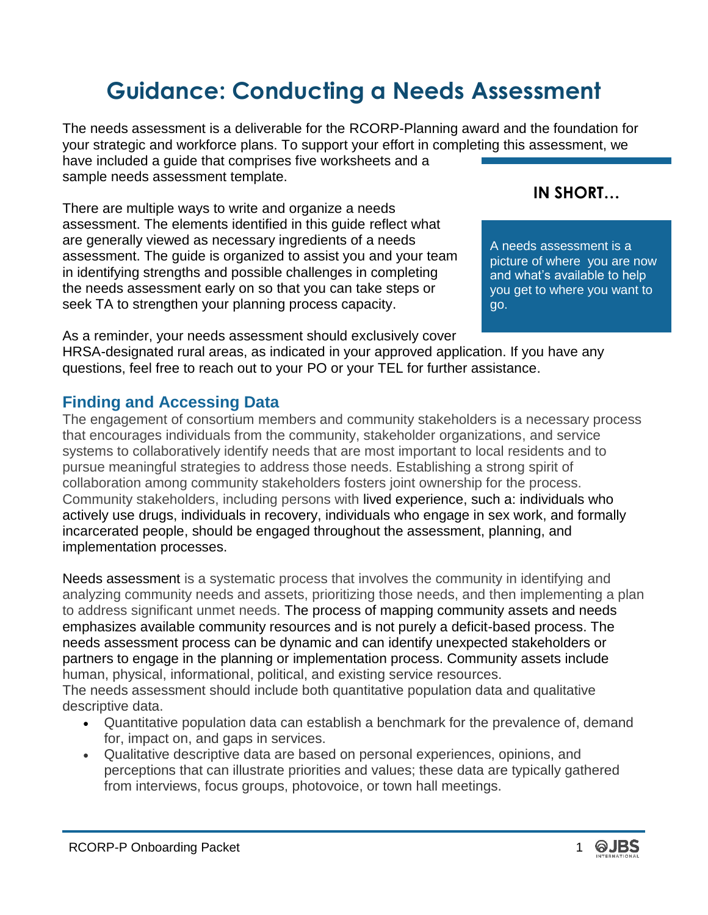# **Guidance: Conducting a Needs Assessment**

The needs assessment is a deliverable for the RCORP-Planning award and the foundation for your strategic and workforce plans. To support your effort in completing this assessment, we have included a guide that comprises five worksheets and a sample needs assessment template.

There are multiple ways to write and organize a needs assessment. The elements identified in this guide reflect what are generally viewed as necessary ingredients of a needs assessment. The guide is organized to assist you and your team in identifying strengths and possible challenges in completing the needs assessment early on so that you can take steps or seek TA to strengthen your planning process capacity.

As a reminder, your needs assessment should exclusively cover HRSA-designated rural areas, as indicated in your approved application. If you have any questions, feel free to reach out to your PO or your TEL for further assistance.

## **Finding and Accessing Data**

The engagement of consortium members and community stakeholders is a necessary process that encourages individuals from the community, stakeholder organizations, and service systems to collaboratively identify needs that are most important to local residents and to pursue meaningful strategies to address those needs. Establishing a strong spirit of collaboration among community stakeholders fosters joint ownership for the process. Community stakeholders, including persons with lived experience, such a: individuals who actively use drugs, individuals in recovery, individuals who engage in sex work, and formally incarcerated people, should be engaged throughout the assessment, planning, and implementation processes.

Needs assessment is a systematic process that involves the community in identifying and analyzing community needs and assets, prioritizing those needs, and then implementing a plan to address significant unmet needs. The process of mapping community assets and needs emphasizes available community resources and is not purely a deficit-based process. The needs assessment process can be dynamic and can identify unexpected stakeholders or partners to engage in the planning or implementation process. Community assets include human, physical, informational, political, and existing service resources. The needs assessment should include both quantitative population data and qualitative descriptive data.

- Quantitative population data can establish a benchmark for the prevalence of, demand for, impact on, and gaps in services.
- Qualitative descriptive data are based on personal experiences, opinions, and perceptions that can illustrate priorities and values; these data are typically gathered from interviews, focus groups, photovoice, or town hall meetings.

# **IN SHORT…**

A needs assessment is a picture of where you are now and what's available to help you get to where you want to go.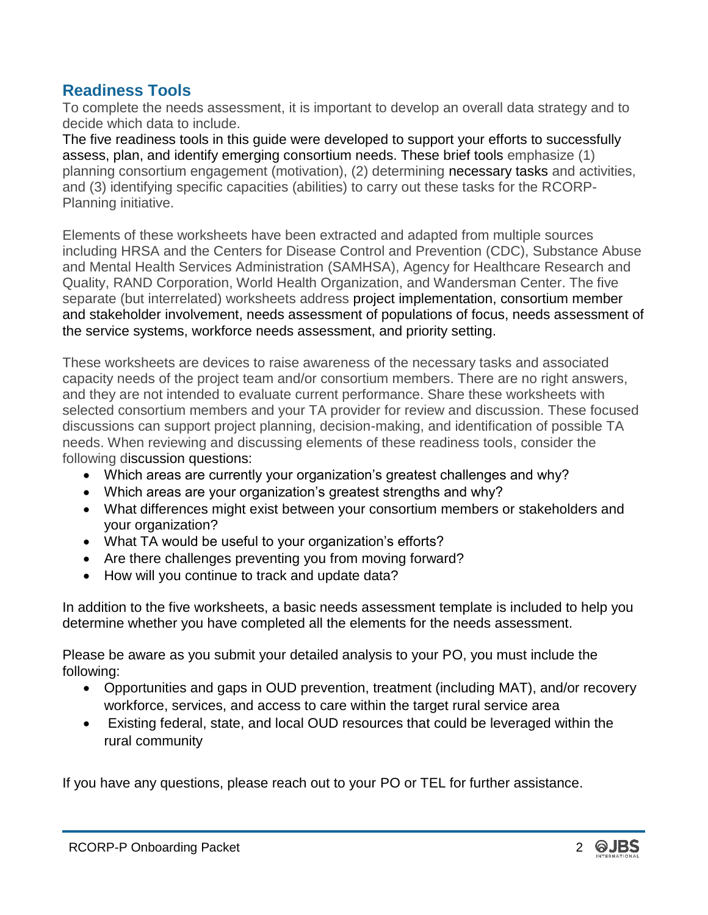## **Readiness Tools**

To complete the needs assessment, it is important to develop an overall data strategy and to decide which data to include.

The five readiness tools in this guide were developed to support your efforts to successfully assess, plan, and identify emerging consortium needs. These brief tools emphasize (1) planning consortium engagement (motivation), (2) determining necessary tasks and activities, and (3) identifying specific capacities (abilities) to carry out these tasks for the RCORP-Planning initiative.

Elements of these worksheets have been extracted and adapted from multiple sources including HRSA and the Centers for Disease Control and Prevention (CDC), Substance Abuse and Mental Health Services Administration (SAMHSA), Agency for Healthcare Research and Quality, RAND Corporation, World Health Organization, and Wandersman Center. The five separate (but interrelated) worksheets address project implementation, consortium member and stakeholder involvement, needs assessment of populations of focus, needs assessment of the service systems, workforce needs assessment, and priority setting.

These worksheets are devices to raise awareness of the necessary tasks and associated capacity needs of the project team and/or consortium members. There are no right answers, and they are not intended to evaluate current performance. Share these worksheets with selected consortium members and your TA provider for review and discussion. These focused discussions can support project planning, decision-making, and identification of possible TA needs. When reviewing and discussing elements of these readiness tools, consider the following discussion questions:

- Which areas are currently your organization's greatest challenges and why?
- Which areas are your organization's greatest strengths and why?
- What differences might exist between your consortium members or stakeholders and your organization?
- What TA would be useful to your organization's efforts?
- Are there challenges preventing you from moving forward?
- How will you continue to track and update data?

In addition to the five worksheets, a basic needs assessment template is included to help you determine whether you have completed all the elements for the needs assessment.

Please be aware as you submit your detailed analysis to your PO, you must include the following:

- Opportunities and gaps in OUD prevention, treatment (including MAT), and/or recovery workforce, services, and access to care within the target rural service area
- Existing federal, state, and local OUD resources that could be leveraged within the rural community

If you have any questions, please reach out to your PO or TEL for further assistance.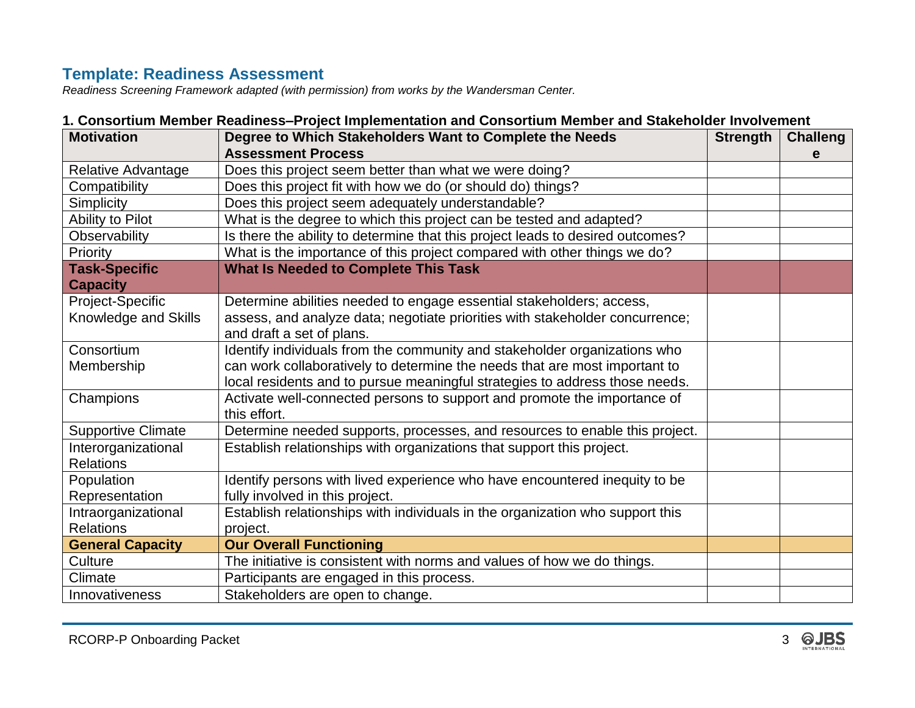# **Template: Readiness Assessment**

*Readiness Screening Framework adapted (with permission) from works by the Wandersman Center.*

|                           | <u>nooruun monnon rouuniood 1 rojoot mipionionuurion unu oonooruuni monnon unu olumonoidi mirorron</u> | <b>Strength</b> |                 |
|---------------------------|--------------------------------------------------------------------------------------------------------|-----------------|-----------------|
| <b>Motivation</b>         | Degree to Which Stakeholders Want to Complete the Needs                                                |                 | <b>Challeng</b> |
|                           | <b>Assessment Process</b>                                                                              |                 | е               |
| <b>Relative Advantage</b> | Does this project seem better than what we were doing?                                                 |                 |                 |
| Compatibility             | Does this project fit with how we do (or should do) things?                                            |                 |                 |
| Simplicity                | Does this project seem adequately understandable?                                                      |                 |                 |
| Ability to Pilot          | What is the degree to which this project can be tested and adapted?                                    |                 |                 |
| Observability             | Is there the ability to determine that this project leads to desired outcomes?                         |                 |                 |
| Priority                  | What is the importance of this project compared with other things we do?                               |                 |                 |
| <b>Task-Specific</b>      | <b>What Is Needed to Complete This Task</b>                                                            |                 |                 |
| <b>Capacity</b>           |                                                                                                        |                 |                 |
| Project-Specific          | Determine abilities needed to engage essential stakeholders; access,                                   |                 |                 |
| Knowledge and Skills      | assess, and analyze data; negotiate priorities with stakeholder concurrence;                           |                 |                 |
|                           | and draft a set of plans.                                                                              |                 |                 |
| Consortium                | Identify individuals from the community and stakeholder organizations who                              |                 |                 |
| Membership                | can work collaboratively to determine the needs that are most important to                             |                 |                 |
|                           | local residents and to pursue meaningful strategies to address those needs.                            |                 |                 |
| Champions                 | Activate well-connected persons to support and promote the importance of                               |                 |                 |
|                           | this effort.                                                                                           |                 |                 |
| <b>Supportive Climate</b> | Determine needed supports, processes, and resources to enable this project.                            |                 |                 |
| Interorganizational       | Establish relationships with organizations that support this project.                                  |                 |                 |
| <b>Relations</b>          |                                                                                                        |                 |                 |
| Population                | Identify persons with lived experience who have encountered inequity to be                             |                 |                 |
| Representation            | fully involved in this project.                                                                        |                 |                 |
| Intraorganizational       | Establish relationships with individuals in the organization who support this                          |                 |                 |
| <b>Relations</b>          | project.                                                                                               |                 |                 |
| <b>General Capacity</b>   | <b>Our Overall Functioning</b>                                                                         |                 |                 |
| Culture                   | The initiative is consistent with norms and values of how we do things.                                |                 |                 |
| Climate                   | Participants are engaged in this process.                                                              |                 |                 |
| Innovativeness            | Stakeholders are open to change.                                                                       |                 |                 |

#### **1. Consortium Member Readiness–Project Implementation and Consortium Member and Stakeholder Involvement**

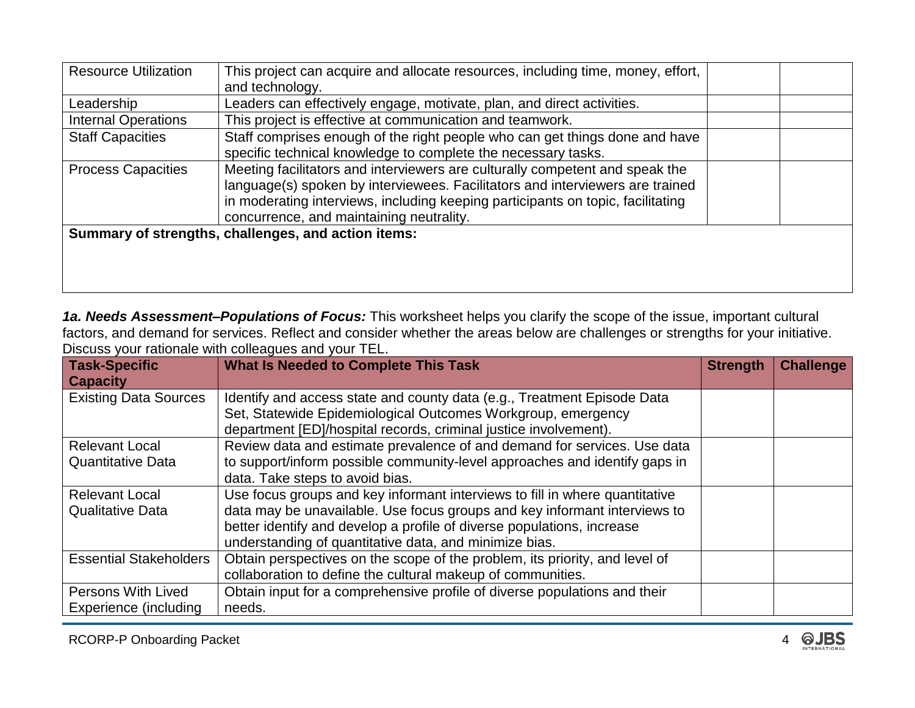| <b>Resource Utilization</b> | This project can acquire and allocate resources, including time, money, effort,<br>and technology.                                                                                                                                                                                           |  |
|-----------------------------|----------------------------------------------------------------------------------------------------------------------------------------------------------------------------------------------------------------------------------------------------------------------------------------------|--|
| Leadership                  | Leaders can effectively engage, motivate, plan, and direct activities.                                                                                                                                                                                                                       |  |
| <b>Internal Operations</b>  | This project is effective at communication and teamwork.                                                                                                                                                                                                                                     |  |
| <b>Staff Capacities</b>     | Staff comprises enough of the right people who can get things done and have<br>specific technical knowledge to complete the necessary tasks.                                                                                                                                                 |  |
| <b>Process Capacities</b>   | Meeting facilitators and interviewers are culturally competent and speak the<br>language(s) spoken by interviewees. Facilitators and interviewers are trained<br>in moderating interviews, including keeping participants on topic, facilitating<br>concurrence, and maintaining neutrality. |  |
|                             | Summary of strengths, challenges, and action items:                                                                                                                                                                                                                                          |  |

*1a. Needs Assessment–Populations of Focus:* This worksheet helps you clarify the scope of the issue, important cultural factors, and demand for services. Reflect and consider whether the areas below are challenges or strengths for your initiative. Discuss your rationale with colleagues and your TEL.

| <b>Task-Specific</b><br><b>Capacity</b> | <b>What Is Needed to Complete This Task</b>                                                                                             | <b>Strength</b> | <b>Challenge</b> |
|-----------------------------------------|-----------------------------------------------------------------------------------------------------------------------------------------|-----------------|------------------|
| <b>Existing Data Sources</b>            | Identify and access state and county data (e.g., Treatment Episode Data<br>Set, Statewide Epidemiological Outcomes Workgroup, emergency |                 |                  |
|                                         | department [ED]/hospital records, criminal justice involvement).                                                                        |                 |                  |
| <b>Relevant Local</b>                   | Review data and estimate prevalence of and demand for services. Use data                                                                |                 |                  |
| <b>Quantitative Data</b>                | to support/inform possible community-level approaches and identify gaps in                                                              |                 |                  |
|                                         | data. Take steps to avoid bias.                                                                                                         |                 |                  |
| <b>Relevant Local</b>                   | Use focus groups and key informant interviews to fill in where quantitative                                                             |                 |                  |
| <b>Qualitative Data</b>                 | data may be unavailable. Use focus groups and key informant interviews to                                                               |                 |                  |
|                                         | better identify and develop a profile of diverse populations, increase                                                                  |                 |                  |
|                                         | understanding of quantitative data, and minimize bias.                                                                                  |                 |                  |
| <b>Essential Stakeholders</b>           | Obtain perspectives on the scope of the problem, its priority, and level of                                                             |                 |                  |
|                                         | collaboration to define the cultural makeup of communities.                                                                             |                 |                  |
| Persons With Lived                      | Obtain input for a comprehensive profile of diverse populations and their                                                               |                 |                  |
| Experience (including                   | needs.                                                                                                                                  |                 |                  |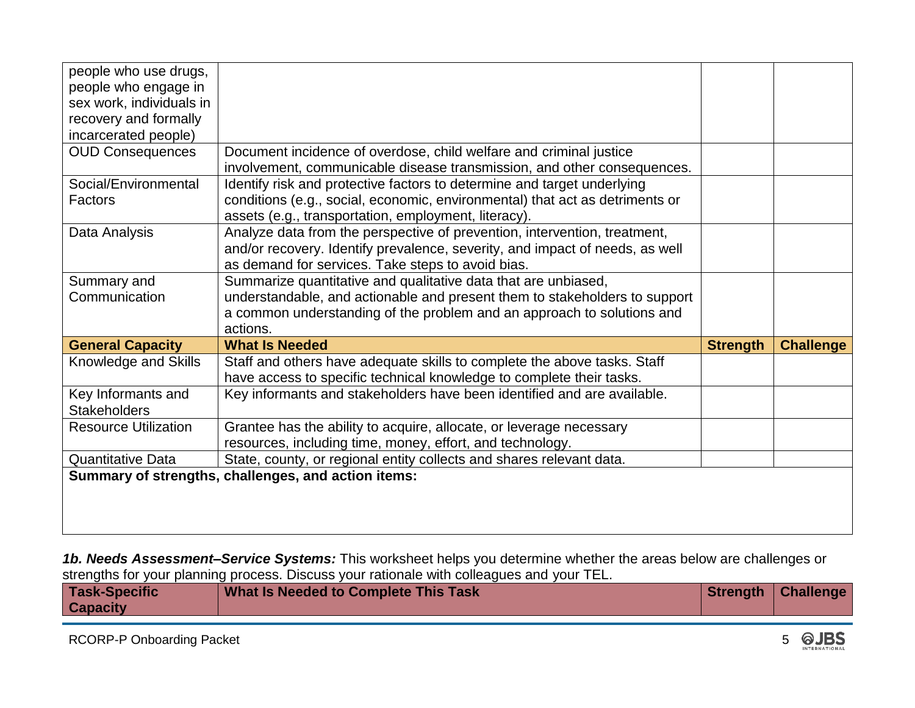| people who use drugs,       |                                                                              |                 |                  |
|-----------------------------|------------------------------------------------------------------------------|-----------------|------------------|
| people who engage in        |                                                                              |                 |                  |
| sex work, individuals in    |                                                                              |                 |                  |
| recovery and formally       |                                                                              |                 |                  |
| incarcerated people)        |                                                                              |                 |                  |
| <b>OUD Consequences</b>     | Document incidence of overdose, child welfare and criminal justice           |                 |                  |
|                             | involvement, communicable disease transmission, and other consequences.      |                 |                  |
| Social/Environmental        | Identify risk and protective factors to determine and target underlying      |                 |                  |
| Factors                     | conditions (e.g., social, economic, environmental) that act as detriments or |                 |                  |
|                             | assets (e.g., transportation, employment, literacy).                         |                 |                  |
| Data Analysis               | Analyze data from the perspective of prevention, intervention, treatment,    |                 |                  |
|                             | and/or recovery. Identify prevalence, severity, and impact of needs, as well |                 |                  |
|                             | as demand for services. Take steps to avoid bias.                            |                 |                  |
| Summary and                 | Summarize quantitative and qualitative data that are unbiased,               |                 |                  |
| Communication               | understandable, and actionable and present them to stakeholders to support   |                 |                  |
|                             | a common understanding of the problem and an approach to solutions and       |                 |                  |
|                             | actions.                                                                     |                 |                  |
| <b>General Capacity</b>     | <b>What Is Needed</b>                                                        | <b>Strength</b> | <b>Challenge</b> |
|                             |                                                                              |                 |                  |
| Knowledge and Skills        | Staff and others have adequate skills to complete the above tasks. Staff     |                 |                  |
|                             | have access to specific technical knowledge to complete their tasks.         |                 |                  |
| Key Informants and          | Key informants and stakeholders have been identified and are available.      |                 |                  |
| <b>Stakeholders</b>         |                                                                              |                 |                  |
| <b>Resource Utilization</b> | Grantee has the ability to acquire, allocate, or leverage necessary          |                 |                  |
|                             | resources, including time, money, effort, and technology.                    |                 |                  |
| <b>Quantitative Data</b>    | State, county, or regional entity collects and shares relevant data.         |                 |                  |
|                             | Summary of strengths, challenges, and action items:                          |                 |                  |
|                             |                                                                              |                 |                  |
|                             |                                                                              |                 |                  |

*1b. Needs Assessment–Service Systems:* This worksheet helps you determine whether the areas below are challenges or strengths for your planning process. Discuss your rationale with colleagues and your TEL.

| <b>Task-Specific</b><br><b>Capacity</b> |  | What Is Needed to Complete This Task |  | Strength   Challenge |
|-----------------------------------------|--|--------------------------------------|--|----------------------|
|-----------------------------------------|--|--------------------------------------|--|----------------------|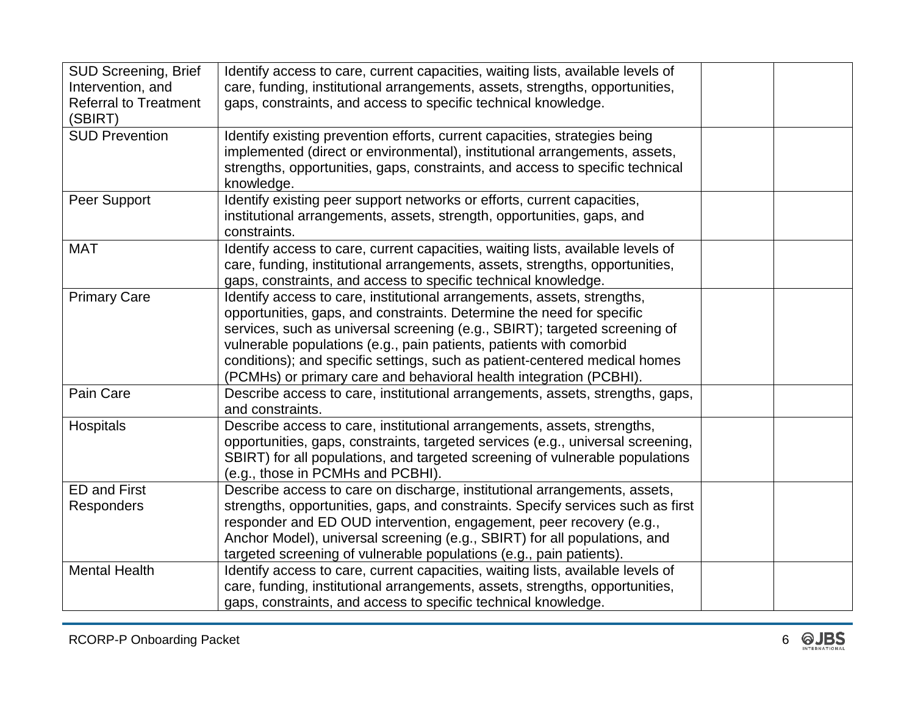| SUD Screening, Brief<br>Intervention, and<br><b>Referral to Treatment</b><br>(SBIRT) | Identify access to care, current capacities, waiting lists, available levels of<br>care, funding, institutional arrangements, assets, strengths, opportunities,<br>gaps, constraints, and access to specific technical knowledge.                                                                                                                                                                                                                         |  |
|--------------------------------------------------------------------------------------|-----------------------------------------------------------------------------------------------------------------------------------------------------------------------------------------------------------------------------------------------------------------------------------------------------------------------------------------------------------------------------------------------------------------------------------------------------------|--|
| <b>SUD Prevention</b>                                                                | Identify existing prevention efforts, current capacities, strategies being<br>implemented (direct or environmental), institutional arrangements, assets,<br>strengths, opportunities, gaps, constraints, and access to specific technical<br>knowledge.                                                                                                                                                                                                   |  |
| Peer Support                                                                         | Identify existing peer support networks or efforts, current capacities,<br>institutional arrangements, assets, strength, opportunities, gaps, and<br>constraints.                                                                                                                                                                                                                                                                                         |  |
| <b>MAT</b>                                                                           | Identify access to care, current capacities, waiting lists, available levels of<br>care, funding, institutional arrangements, assets, strengths, opportunities,<br>gaps, constraints, and access to specific technical knowledge.                                                                                                                                                                                                                         |  |
| <b>Primary Care</b>                                                                  | Identify access to care, institutional arrangements, assets, strengths,<br>opportunities, gaps, and constraints. Determine the need for specific<br>services, such as universal screening (e.g., SBIRT); targeted screening of<br>vulnerable populations (e.g., pain patients, patients with comorbid<br>conditions); and specific settings, such as patient-centered medical homes<br>(PCMHs) or primary care and behavioral health integration (PCBHI). |  |
| Pain Care                                                                            | Describe access to care, institutional arrangements, assets, strengths, gaps,<br>and constraints.                                                                                                                                                                                                                                                                                                                                                         |  |
| Hospitals                                                                            | Describe access to care, institutional arrangements, assets, strengths,<br>opportunities, gaps, constraints, targeted services (e.g., universal screening,<br>SBIRT) for all populations, and targeted screening of vulnerable populations<br>(e.g., those in PCMHs and PCBHI).                                                                                                                                                                           |  |
| <b>ED and First</b><br><b>Responders</b>                                             | Describe access to care on discharge, institutional arrangements, assets,<br>strengths, opportunities, gaps, and constraints. Specify services such as first<br>responder and ED OUD intervention, engagement, peer recovery (e.g.,<br>Anchor Model), universal screening (e.g., SBIRT) for all populations, and<br>targeted screening of vulnerable populations (e.g., pain patients).                                                                   |  |
| <b>Mental Health</b>                                                                 | Identify access to care, current capacities, waiting lists, available levels of<br>care, funding, institutional arrangements, assets, strengths, opportunities,<br>gaps, constraints, and access to specific technical knowledge.                                                                                                                                                                                                                         |  |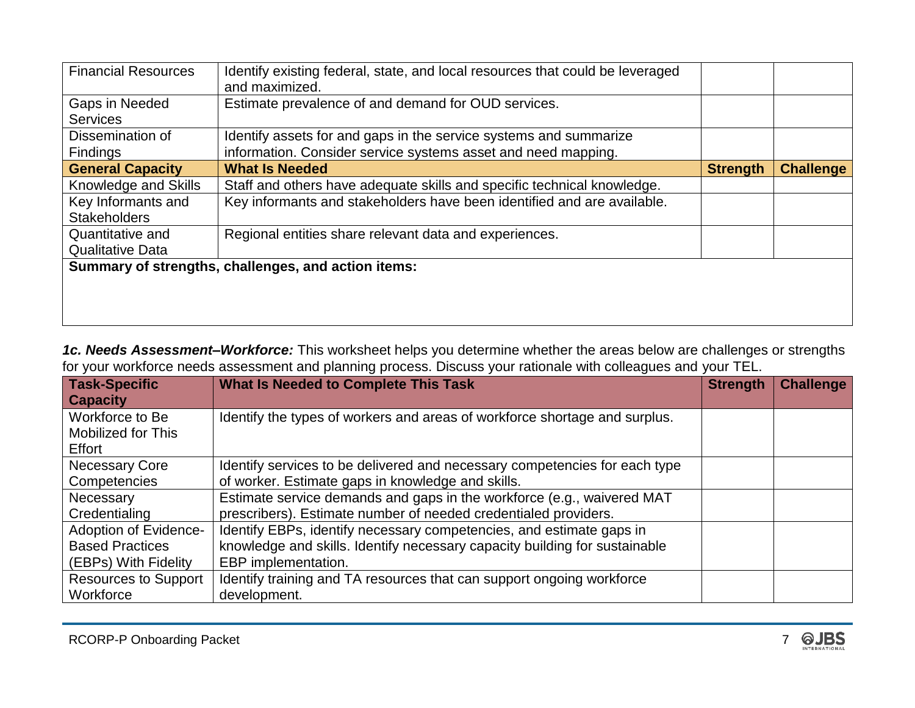| <b>Financial Resources</b> | Identify existing federal, state, and local resources that could be leveraged<br>and maximized. |                 |                  |
|----------------------------|-------------------------------------------------------------------------------------------------|-----------------|------------------|
| Gaps in Needed             | Estimate prevalence of and demand for OUD services.                                             |                 |                  |
| <b>Services</b>            |                                                                                                 |                 |                  |
| Dissemination of           | Identify assets for and gaps in the service systems and summarize                               |                 |                  |
| <b>Findings</b>            | information. Consider service systems asset and need mapping.                                   |                 |                  |
| <b>General Capacity</b>    | <b>What Is Needed</b>                                                                           | <b>Strength</b> | <b>Challenge</b> |
| Knowledge and Skills       | Staff and others have adequate skills and specific technical knowledge.                         |                 |                  |
| Key Informants and         | Key informants and stakeholders have been identified and are available.                         |                 |                  |
| <b>Stakeholders</b>        |                                                                                                 |                 |                  |
| Quantitative and           | Regional entities share relevant data and experiences.                                          |                 |                  |
| <b>Qualitative Data</b>    |                                                                                                 |                 |                  |
|                            | Summary of strengths, challenges, and action items:                                             |                 |                  |
|                            |                                                                                                 |                 |                  |
|                            |                                                                                                 |                 |                  |
|                            |                                                                                                 |                 |                  |

*1c. Needs Assessment–Workforce:* This worksheet helps you determine whether the areas below are challenges or strengths for your workforce needs assessment and planning process. Discuss your rationale with colleagues and your TEL.

| <b>Task-Specific</b><br><b>Capacity</b>                                 | <b>What Is Needed to Complete This Task</b>                                                                                                                               |  | <b>Challenge</b> |
|-------------------------------------------------------------------------|---------------------------------------------------------------------------------------------------------------------------------------------------------------------------|--|------------------|
| Workforce to Be<br><b>Mobilized for This</b><br>Effort                  | Identify the types of workers and areas of workforce shortage and surplus.                                                                                                |  |                  |
| <b>Necessary Core</b><br>Competencies                                   | Identify services to be delivered and necessary competencies for each type<br>of worker. Estimate gaps in knowledge and skills.                                           |  |                  |
| Necessary<br>Credentialing                                              | Estimate service demands and gaps in the workforce (e.g., waivered MAT<br>prescribers). Estimate number of needed credentialed providers.                                 |  |                  |
| Adoption of Evidence-<br><b>Based Practices</b><br>(EBPs) With Fidelity | Identify EBPs, identify necessary competencies, and estimate gaps in<br>knowledge and skills. Identify necessary capacity building for sustainable<br>EBP implementation. |  |                  |
| <b>Resources to Support</b><br>Workforce                                | Identify training and TA resources that can support ongoing workforce<br>development.                                                                                     |  |                  |

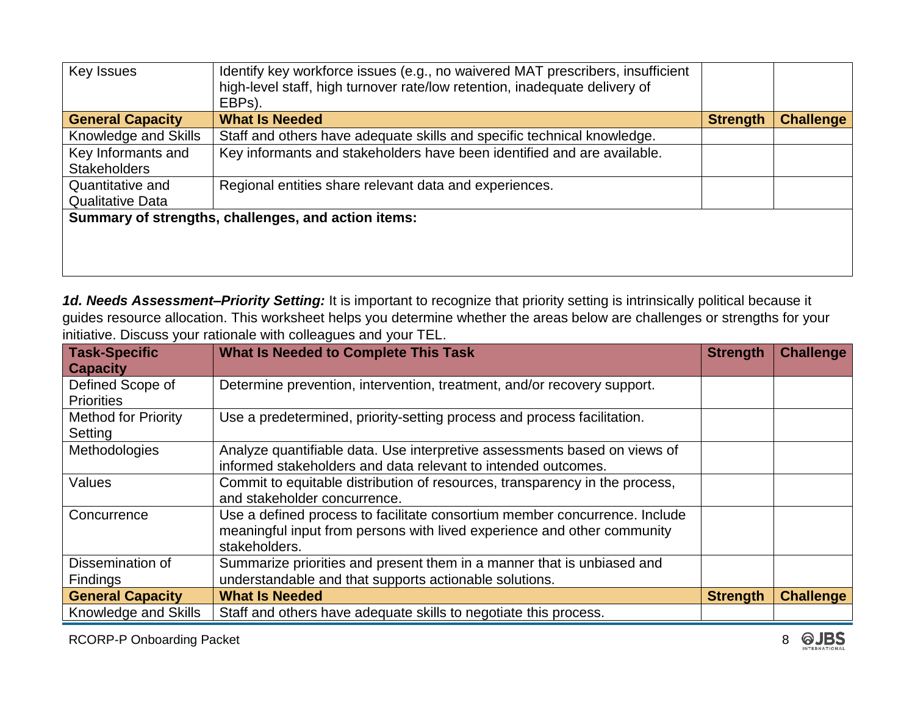| Key Issues                                  | Identify key workforce issues (e.g., no waivered MAT prescribers, insufficient<br>high-level staff, high turnover rate/low retention, inadequate delivery of<br>EBPs). |                 |                  |
|---------------------------------------------|------------------------------------------------------------------------------------------------------------------------------------------------------------------------|-----------------|------------------|
| <b>General Capacity</b>                     | <b>What Is Needed</b>                                                                                                                                                  | <b>Strength</b> | <b>Challenge</b> |
| Knowledge and Skills                        | Staff and others have adequate skills and specific technical knowledge.                                                                                                |                 |                  |
| Key Informants and<br><b>Stakeholders</b>   | Key informants and stakeholders have been identified and are available.                                                                                                |                 |                  |
| Quantitative and<br><b>Qualitative Data</b> | Regional entities share relevant data and experiences.                                                                                                                 |                 |                  |
|                                             | Summary of strengths, challenges, and action items:                                                                                                                    |                 |                  |
|                                             |                                                                                                                                                                        |                 |                  |
|                                             |                                                                                                                                                                        |                 |                  |

*1d. Needs Assessment–Priority Setting:* It is important to recognize that priority setting is intrinsically political because it guides resource allocation. This worksheet helps you determine whether the areas below are challenges or strengths for your initiative. Discuss your rationale with colleagues and your TEL.

| <b>Task-Specific</b>                | <b>What Is Needed to Complete This Task</b>                                 |                 | <b>Challenge</b> |
|-------------------------------------|-----------------------------------------------------------------------------|-----------------|------------------|
| <b>Capacity</b><br>Defined Scope of | Determine prevention, intervention, treatment, and/or recovery support.     |                 |                  |
| <b>Priorities</b>                   |                                                                             |                 |                  |
| <b>Method for Priority</b>          | Use a predetermined, priority-setting process and process facilitation.     |                 |                  |
| Setting                             |                                                                             |                 |                  |
| Methodologies                       | Analyze quantifiable data. Use interpretive assessments based on views of   |                 |                  |
|                                     | informed stakeholders and data relevant to intended outcomes.               |                 |                  |
| Values                              | Commit to equitable distribution of resources, transparency in the process, |                 |                  |
|                                     | and stakeholder concurrence.                                                |                 |                  |
| Concurrence                         | Use a defined process to facilitate consortium member concurrence. Include  |                 |                  |
|                                     | meaningful input from persons with lived experience and other community     |                 |                  |
|                                     | stakeholders.                                                               |                 |                  |
| Dissemination of                    | Summarize priorities and present them in a manner that is unbiased and      |                 |                  |
| Findings                            | understandable and that supports actionable solutions.                      |                 |                  |
| <b>General Capacity</b>             | <b>What Is Needed</b>                                                       | <b>Strength</b> | <b>Challenge</b> |
| Knowledge and Skills                | Staff and others have adequate skills to negotiate this process.            |                 |                  |

RCORP-P Onboarding Packet 8 **QUBS** 8 **QUBS**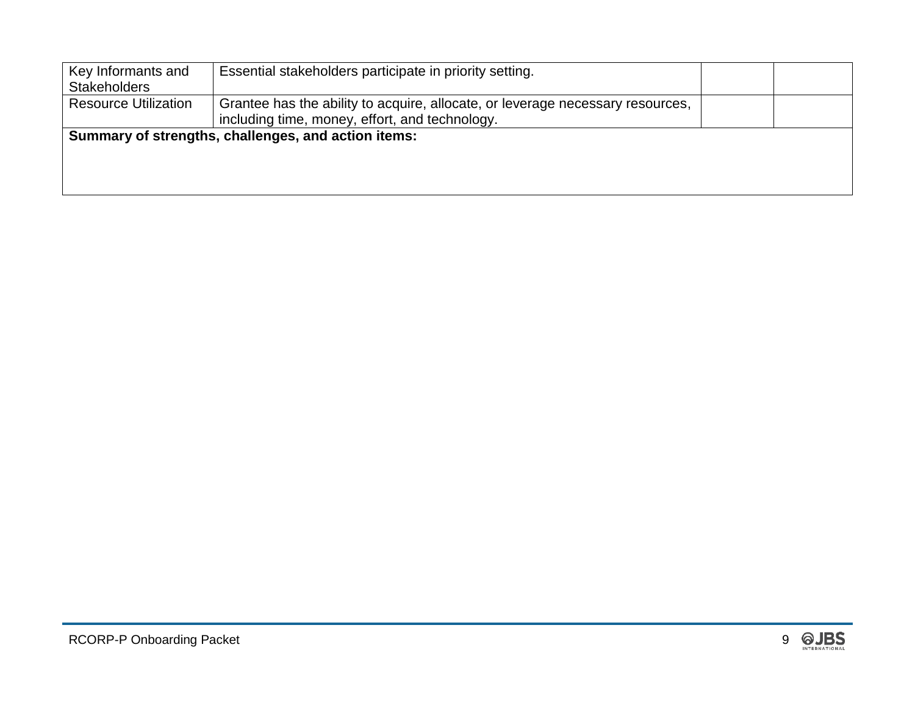| Key Informants and<br><b>Stakeholders</b> | Essential stakeholders participate in priority setting.                                                                          |  |
|-------------------------------------------|----------------------------------------------------------------------------------------------------------------------------------|--|
| <b>Resource Utilization</b>               | Grantee has the ability to acquire, allocate, or leverage necessary resources,<br>including time, money, effort, and technology. |  |
|                                           | Summary of strengths, challenges, and action items:                                                                              |  |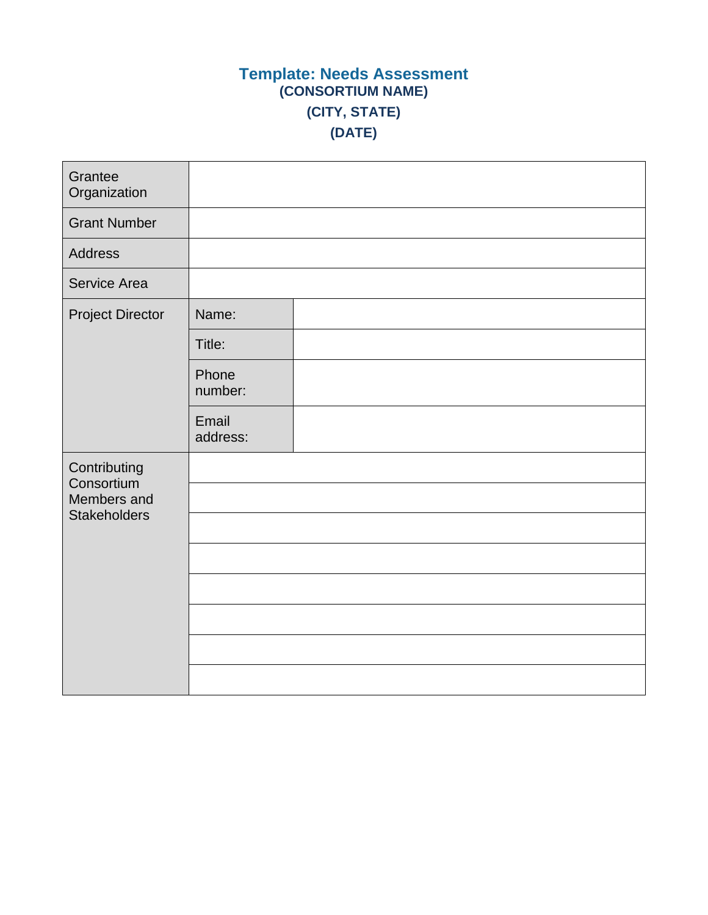## **Template: Needs Assessment (CONSORTIUM NAME) (CITY, STATE) (DATE)**

| Grantee<br>Organization    |                   |  |
|----------------------------|-------------------|--|
| <b>Grant Number</b>        |                   |  |
| Address                    |                   |  |
| Service Area               |                   |  |
| <b>Project Director</b>    | Name:             |  |
|                            | Title:            |  |
|                            | Phone<br>number:  |  |
|                            | Email<br>address: |  |
| Contributing<br>Consortium |                   |  |
| Members and                |                   |  |
| <b>Stakeholders</b>        |                   |  |
|                            |                   |  |
|                            |                   |  |
|                            |                   |  |
|                            |                   |  |
|                            |                   |  |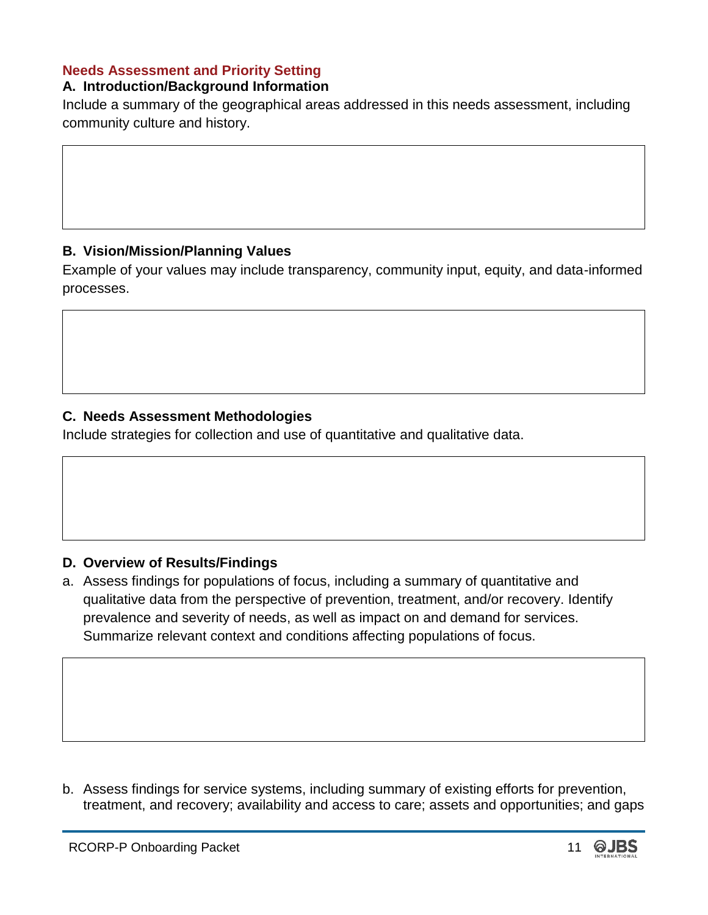#### **Needs Assessment and Priority Setting**

#### **A. Introduction/Background Information**

Include a summary of the geographical areas addressed in this needs assessment, including community culture and history.

#### **B. Vision/Mission/Planning Values**

Example of your values may include transparency, community input, equity, and data-informed processes.

#### **C. Needs Assessment Methodologies**

Include strategies for collection and use of quantitative and qualitative data.

#### **D. Overview of Results/Findings**

a. Assess findings for populations of focus, including a summary of quantitative and qualitative data from the perspective of prevention, treatment, and/or recovery. Identify prevalence and severity of needs, as well as impact on and demand for services. Summarize relevant context and conditions affecting populations of focus.

b. Assess findings for service systems, including summary of existing efforts for prevention, treatment, and recovery; availability and access to care; assets and opportunities; and gaps